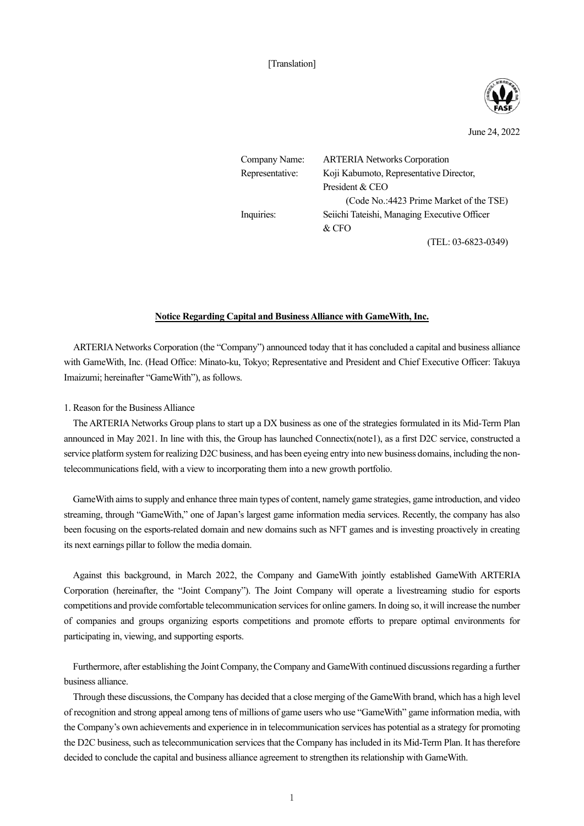[Translation]



June 24, 2022

| Company Name:   | <b>ARTERIA Networks Corporation</b>          |  |
|-----------------|----------------------------------------------|--|
| Representative: | Koji Kabumoto, Representative Director,      |  |
|                 | President & CEO                              |  |
|                 | (Code No.: 4423 Prime Market of the TSE)     |  |
| Inquiries:      | Seiichi Tateishi, Managing Executive Officer |  |
|                 | $&$ CFO                                      |  |
|                 | $(TEL: 03-6823-0349)$                        |  |

## **Notice Regarding Capital and Business Alliance with GameWith, Inc.**

ARTERIA Networks Corporation (the "Company") announced today that it has concluded a capital and business alliance with GameWith, Inc. (Head Office: Minato-ku, Tokyo; Representative and President and Chief Executive Officer: Takuya Imaizumi; hereinafter "GameWith"), as follows.

## 1. Reason for the Business Alliance

The ARTERIA Networks Group plans to start up a DX business as one of the strategies formulated in its Mid-Term Plan announced in May 2021. In line with this, the Group has launched Connectix(note1), as a first D2C service, constructed a service platform system for realizing D2C business, and has been eyeing entry into new business domains, including the nontelecommunications field, with a view to incorporating them into a new growth portfolio.

GameWith aims to supply and enhance three main types of content, namely game strategies, game introduction, and video streaming, through "GameWith," one of Japan's largest game information media services. Recently, the company has also been focusing on the esports-related domain and new domains such as NFT games and is investing proactively in creating its next earnings pillar to follow the media domain.

Against this background, in March 2022, the Company and GameWith jointly established GameWith ARTERIA Corporation (hereinafter, the "Joint Company"). The Joint Company will operate a livestreaming studio for esports competitions and provide comfortable telecommunication services for online gamers. In doing so, it will increase the number of companies and groups organizing esports competitions and promote efforts to prepare optimal environments for participating in, viewing, and supporting esports.

Furthermore, after establishing the Joint Company, the Company and GameWith continued discussions regarding a further business alliance.

Through these discussions, the Company has decided that a close merging of the GameWith brand, which has a high level of recognition and strong appeal among tens of millions of game users who use "GameWith" game information media, with the Company's own achievements and experience in in telecommunication services has potential as a strategy for promoting the D2C business, such as telecommunication services that the Company has included in its Mid-Term Plan. It has therefore decided to conclude the capital and business alliance agreement to strengthen its relationship with GameWith.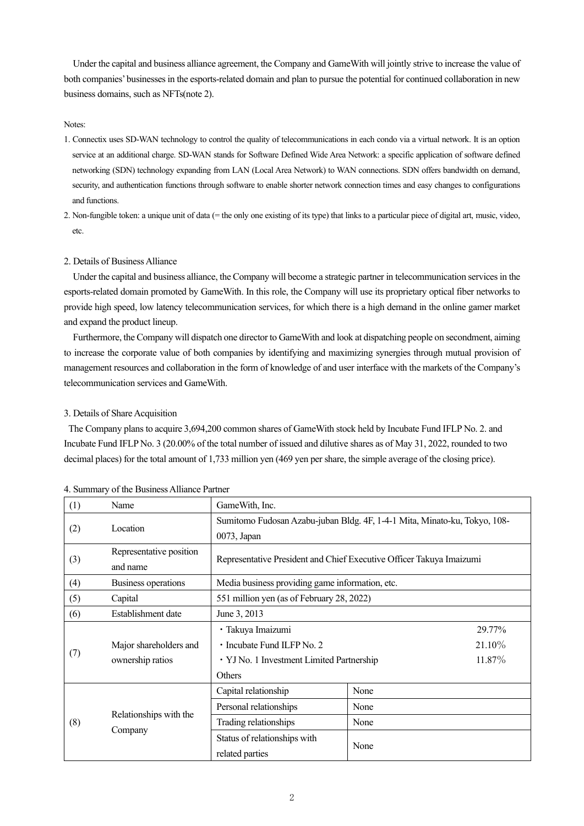Under the capital and business alliance agreement, the Company and GameWith will jointly strive to increase the value of both companies' businesses in the esports-related domain and plan to pursue the potential for continued collaboration in new business domains, such as NFTs(note 2).

### Notes:

- 1. Connectix uses SD-WAN technology to control the quality of telecommunications in each condo via a virtual network. It is an option service at an additional charge. SD-WAN stands for Software Defined Wide Area Network: a specific application of software defined networking (SDN) technology expanding from LAN (Local Area Network) to WAN connections. SDN offers bandwidth on demand, security, and authentication functions through software to enable shorter network connection times and easy changes to configurations and functions.
- 2. Non-fungible token: a unique unit of data (= the only one existing of its type) that links to a particular piece of digital art, music, video, etc.

#### 2. Details of Business Alliance

Under the capital and business alliance, the Company will become a strategic partner in telecommunication services in the esports-related domain promoted by GameWith. In this role, the Company will use its proprietary optical fiber networks to provide high speed, low latency telecommunication services, for which there is a high demand in the online gamer market and expand the product lineup.

Furthermore, the Company will dispatch one director to GameWith and look at dispatching people on secondment, aiming to increase the corporate value of both companies by identifying and maximizing synergies through mutual provision of management resources and collaboration in the form of knowledge of and user interface with the markets of the Company's telecommunication services and GameWith.

## 3. Details of Share Acquisition

The Company plans to acquire 3,694,200 common shares of GameWith stock held by Incubate Fund IFLP No. 2. and Incubate Fund IFLP No. 3 (20.00% of the total number of issued and dilutive shares as of May 31, 2022, rounded to two decimal places) for the total amount of 1,733 million yen (469 yen per share, the simple average of the closing price).

| (1) | Name                                       | GameWith, Inc.                                                                                                                       |      |
|-----|--------------------------------------------|--------------------------------------------------------------------------------------------------------------------------------------|------|
| (2) | Location                                   | Sumitomo Fudosan Azabu-juban Bldg. 4F, 1-4-1 Mita, Minato-ku, Tokyo, 108-<br>0073, Japan                                             |      |
| (3) | Representative position<br>and name        | Representative President and Chief Executive Officer Takuya Imaizumi                                                                 |      |
| (4) | Business operations                        | Media business providing game information, etc.                                                                                      |      |
| (5) | Capital                                    | 551 million yen (as of February 28, 2022)                                                                                            |      |
| (6) | Establishment date                         | June 3, 2013                                                                                                                         |      |
| (7) | Major shareholders and<br>ownership ratios | · Takuya Imaizumi<br>29.77%<br>21.10%<br>• Incubate Fund ILFP No. 2<br>11.87%<br>· YJ No. 1 Investment Limited Partnership<br>Others |      |
| (8) | Relationships with the<br>Company          | Capital relationship                                                                                                                 | None |
|     |                                            | Personal relationships                                                                                                               | None |
|     |                                            | Trading relationships                                                                                                                | None |
|     |                                            | Status of relationships with<br>related parties                                                                                      | None |

4. Summary of the Business Alliance Partner